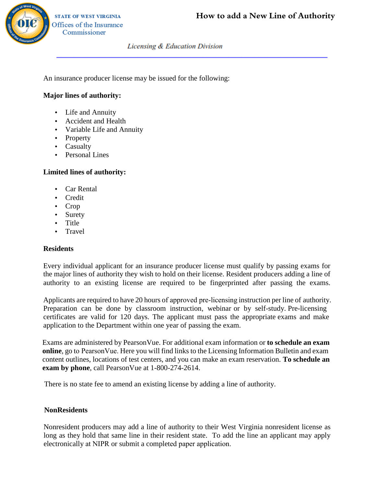

**Licensing & Education Division** 

An insurance producer license may be issued for the following:

## **Major lines of authority:**

- Life and Annuity
- Accident and Health
- Variable Life and Annuity
- Property
- Casualty
- Personal Lines

## **Limited lines of authority:**

- Car Rental
- Credit
- Crop
- Surety
- Title
- Travel

## **Residents**

Every individual applicant for an insurance producer license must qualify by passing exams for the major lines of authority they wish to hold on their license. Resident producers adding a line of authority to an existing l Every individual applicant for an insurance producer license must qualify by passing exams for the major lines of authority they wish to hold on their license. Resident producers adding a line of authority to an existing license are required to be fingerprinted after passing the exams.

Applicants are required to have 20 hours of approved pre-licensing instruction per line of authority.<br>Preparation can be done by classroom instruction, webinar or by self-study. Pre-licensing<br>certificates are valid for 120 Every individual applicant for an insurance producer license must qualify by passing exams for<br>the major lines of authority they wish to hold on their license. Resident producers adding a line of<br>authority to an existing l certificates are valid for 120 days. The applicant must pass the appropriate exams and make application to the Department within one year of passing the exam.

**online**, go to PearsonVue. Here you will find links to the Licensing Information Bulletin and exam content outlines, locations of test centers, and you can make an exam reservation. **To schedule an** application to the Department within one year of passing t<br>Exams are administered by PearsonVue. For additional exa<br>**online**, go to PearsonVue. Here you will find links to the Li<br>content outlines, locations of test centers

There is no state fee to amend an existing license by adding a line of authority.

## **NonResidents**

Nonresident producers may add a line of authority to their West Virginia nonresident license as long as they hold that same line in their resident state. To add the line an applicant may apply electronically at NIPR or submit a completed paper application.